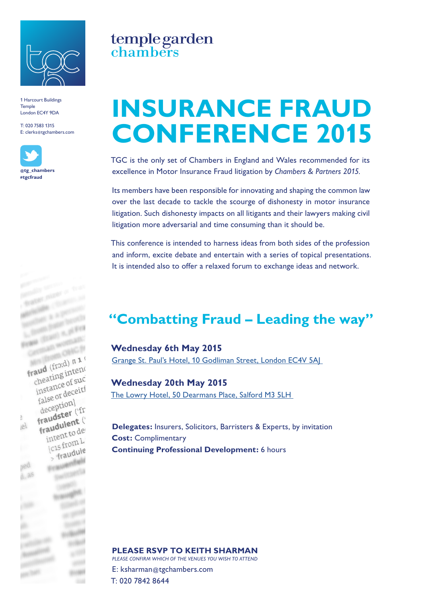

1 Harcourt Buildings **Temple** London EC4Y 9DA

T: 020 7583 1315 E: clerks@tgchambers.com





# temple garden<br>chambers

## **INSURANCE FRAUD CONFERENCE 2015**

TGC is the only set of Chambers in England and Wales recommended for its excellence in Motor Insurance Fraud litigation by *Chambers & Partners 2015.*

Its members have been responsible for innovating and shaping the common law over the last decade to tackle the scourge of dishonesty in motor insurance litigation. Such dishonesty impacts on all litigants and their lawyers making civil litigation more adversarial and time consuming than it should be.

This conference is intended to harness ideas from both sides of the profession and inform, excite debate and entertain with a series of topical presentations. It is intended also to offer a relaxed forum to exchange ideas and network.

### **"Combatting Fraud – Leading the way"**

**Wednesday 6th May 2015** [Grange St. Paul's Hotel, 10 Godliman Street, London EC4V 5AJ](http://www.grangehotels.com/hotels-london/grange-st-pauls/map-travel-information/) 

**Wednesday 20th May 2015**  [The Lowry Hotel, 50 Dearmans Place, Salford M3 5LH](https://www.thelowryhotel.com/location-and-directions) 

**Delegates:** Insurers, Solicitors, Barristers & Experts, by invitation **Cost:** Complimentary **Continuing Professional Development:** 6 hours

#### **PLEASE RSVP TO KEITH SHARMAN**

*PLEASE CONFIRM WHICH OF THE VENUES YOU WISH TO ATTEND* 

E: ksharman@tgchambers.com T: 020 7842 8644